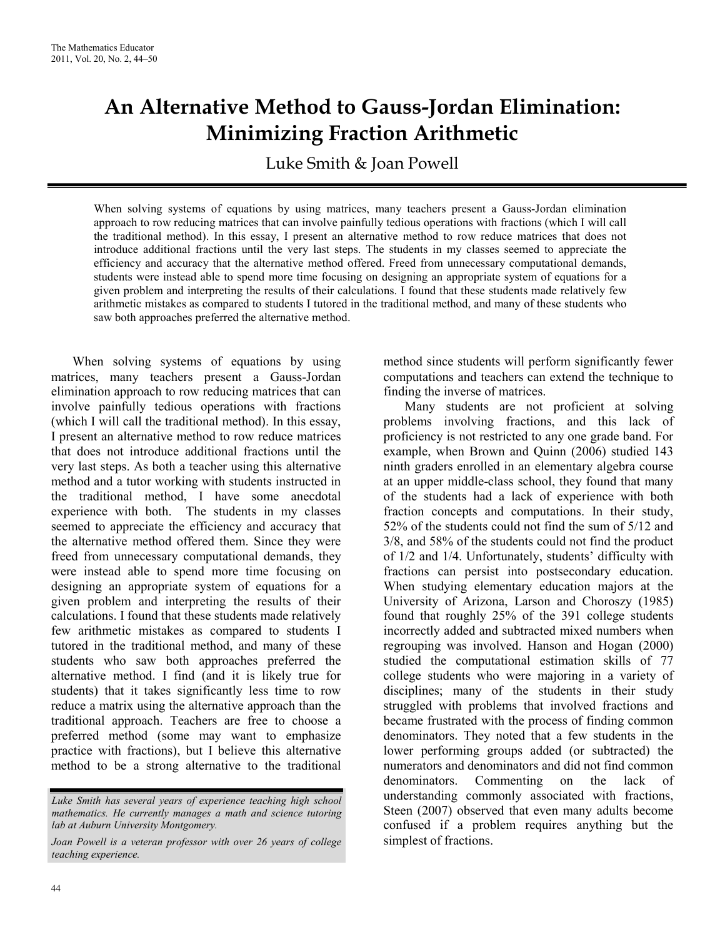## **An Alternative Method to Gauss-Jordan Elimination: Minimizing Fraction Arithmetic**

Luke Smith & Joan Powell

When solving systems of equations by using matrices, many teachers present a Gauss-Jordan elimination approach to row reducing matrices that can involve painfully tedious operations with fractions (which I will call the traditional method). In this essay, I present an alternative method to row reduce matrices that does not introduce additional fractions until the very last steps. The students in my classes seemed to appreciate the efficiency and accuracy that the alternative method offered. Freed from unnecessary computational demands, students were instead able to spend more time focusing on designing an appropriate system of equations for a given problem and interpreting the results of their calculations. I found that these students made relatively few arithmetic mistakes as compared to students I tutored in the traditional method, and many of these students who saw both approaches preferred the alternative method.

When solving systems of equations by using matrices, many teachers present a Gauss-Jordan elimination approach to row reducing matrices that can involve painfully tedious operations with fractions (which I will call the traditional method). In this essay, I present an alternative method to row reduce matrices that does not introduce additional fractions until the very last steps. As both a teacher using this alternative method and a tutor working with students instructed in the traditional method, I have some anecdotal experience with both. The students in my classes seemed to appreciate the efficiency and accuracy that the alternative method offered them. Since they were freed from unnecessary computational demands, they were instead able to spend more time focusing on designing an appropriate system of equations for a given problem and interpreting the results of their calculations. I found that these students made relatively few arithmetic mistakes as compared to students I tutored in the traditional method, and many of these students who saw both approaches preferred the alternative method. I find (and it is likely true for students) that it takes significantly less time to row reduce a matrix using the alternative approach than the traditional approach. Teachers are free to choose a preferred method (some may want to emphasize practice with fractions), but I believe this alternative method to be a strong alternative to the traditional

method since students will perform significantly fewer computations and teachers can extend the technique to finding the inverse of matrices.

Many students are not proficient at solving problems involving fractions, and this lack of proficiency is not restricted to any one grade band. For example, when Brown and Quinn (2006) studied 143 ninth graders enrolled in an elementary algebra course at an upper middle-class school, they found that many of the students had a lack of experience with both fraction concepts and computations. In their study, 52% of the students could not find the sum of 5/12 and 3/8, and 58% of the students could not find the product of 1/2 and 1/4. Unfortunately, students' difficulty with fractions can persist into postsecondary education. When studying elementary education majors at the University of Arizona, Larson and Choroszy (1985) found that roughly 25% of the 391 college students incorrectly added and subtracted mixed numbers when regrouping was involved. Hanson and Hogan (2000) studied the computational estimation skills of 77 college students who were majoring in a variety of disciplines; many of the students in their study struggled with problems that involved fractions and became frustrated with the process of finding common denominators. They noted that a few students in the lower performing groups added (or subtracted) the numerators and denominators and did not find common denominators. Commenting on the lack of understanding commonly associated with fractions, Steen (2007) observed that even many adults become confused if a problem requires anything but the simplest of fractions.

*Luke Smith has several years of experience teaching high school mathematics. He currently manages a math and science tutoring lab at Auburn University Montgomery.* 

*Joan Powell is a veteran professor with over 26 years of college teaching experience.*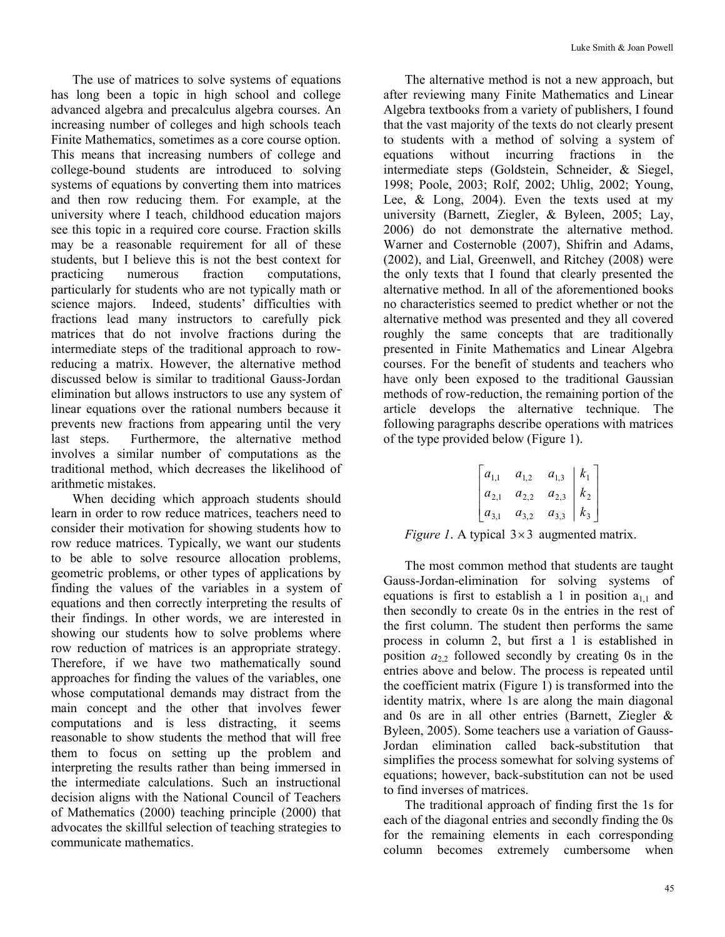The use of matrices to solve systems of equations has long been a topic in high school and college advanced algebra and precalculus algebra courses. An increasing number of colleges and high schools teach Finite Mathematics, sometimes as a core course option. This means that increasing numbers of college and college-bound students are introduced to solving systems of equations by converting them into matrices and then row reducing them. For example, at the university where I teach, childhood education majors see this topic in a required core course. Fraction skills may be a reasonable requirement for all of these students, but I believe this is not the best context for practicing numerous fraction computations, particularly for students who are not typically math or science majors. Indeed, students' difficulties with fractions lead many instructors to carefully pick matrices that do not involve fractions during the intermediate steps of the traditional approach to rowreducing a matrix. However, the alternative method discussed below is similar to traditional Gauss-Jordan elimination but allows instructors to use any system of linear equations over the rational numbers because it prevents new fractions from appearing until the very last steps. Furthermore, the alternative method involves a similar number of computations as the traditional method, which decreases the likelihood of arithmetic mistakes.

When deciding which approach students should learn in order to row reduce matrices, teachers need to consider their motivation for showing students how to row reduce matrices. Typically, we want our students to be able to solve resource allocation problems, geometric problems, or other types of applications by finding the values of the variables in a system of equations and then correctly interpreting the results of their findings. In other words, we are interested in showing our students how to solve problems where row reduction of matrices is an appropriate strategy. Therefore, if we have two mathematically sound approaches for finding the values of the variables, one whose computational demands may distract from the main concept and the other that involves fewer computations and is less distracting, it seems reasonable to show students the method that will free them to focus on setting up the problem and interpreting the results rather than being immersed in the intermediate calculations. Such an instructional decision aligns with the National Council of Teachers of Mathematics (2000) teaching principle (2000) that advocates the skillful selection of teaching strategies to communicate mathematics.

The alternative method is not a new approach, but after reviewing many Finite Mathematics and Linear Algebra textbooks from a variety of publishers, I found that the vast majority of the texts do not clearly present to students with a method of solving a system of equations without incurring fractions in the intermediate steps (Goldstein, Schneider, & Siegel, 1998; Poole, 2003; Rolf, 2002; Uhlig, 2002; Young, Lee,  $\&$  Long, 2004). Even the texts used at my university (Barnett, Ziegler, & Byleen, 2005; Lay, 2006) do not demonstrate the alternative method. Warner and Costernoble (2007), Shifrin and Adams, (2002), and Lial, Greenwell, and Ritchey (2008) were the only texts that I found that clearly presented the alternative method. In all of the aforementioned books no characteristics seemed to predict whether or not the alternative method was presented and they all covered roughly the same concepts that are traditionally presented in Finite Mathematics and Linear Algebra courses. For the benefit of students and teachers who have only been exposed to the traditional Gaussian methods of row-reduction, the remaining portion of the article develops the alternative technique. The following paragraphs describe operations with matrices of the type provided below (Figure 1).

$$
\begin{bmatrix} a_{1,1} & a_{1,2} & a_{1,3} & k_1 \\ a_{2,1} & a_{2,2} & a_{2,3} & k_2 \\ a_{3,1} & a_{3,2} & a_{3,3} & k_3 \end{bmatrix}
$$

*Figure 1.* A typical  $3 \times 3$  augmented matrix.

The most common method that students are taught Gauss-Jordan-elimination for solving systems of equations is first to establish a 1 in position  $a_{11}$  and then secondly to create 0s in the entries in the rest of the first column. The student then performs the same process in column 2, but first a 1 is established in position  $a_{22}$  followed secondly by creating 0s in the entries above and below. The process is repeated until the coefficient matrix (Figure 1) is transformed into the identity matrix, where 1s are along the main diagonal and 0s are in all other entries (Barnett, Ziegler & Byleen, 2005). Some teachers use a variation of Gauss-Jordan elimination called back-substitution that simplifies the process somewhat for solving systems of equations; however, back-substitution can not be used to find inverses of matrices.

The traditional approach of finding first the 1s for each of the diagonal entries and secondly finding the 0s for the remaining elements in each corresponding column becomes extremely cumbersome when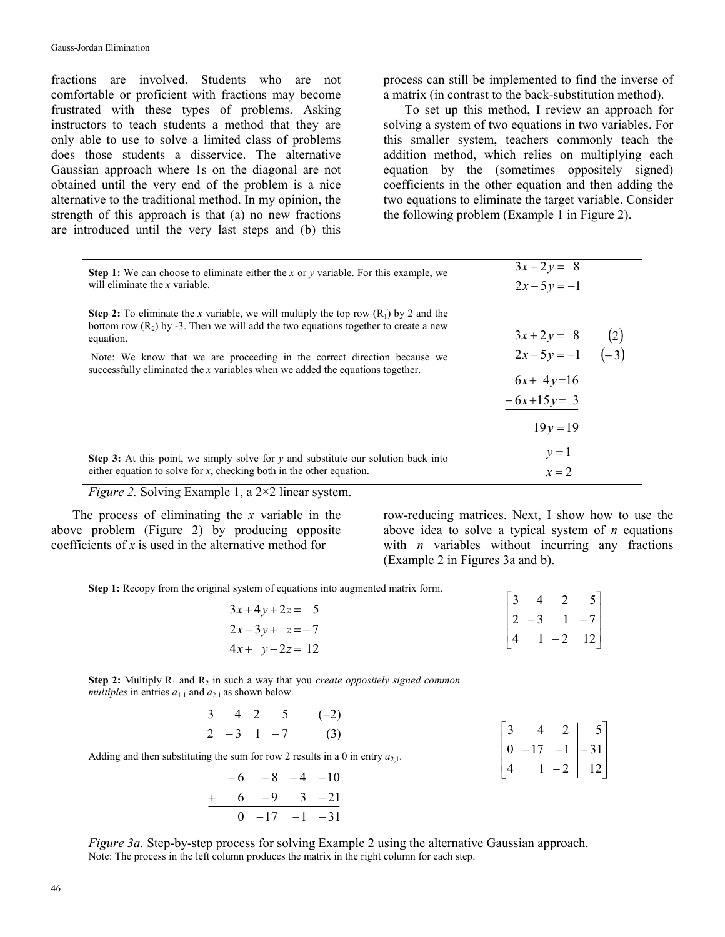fractions are involved. Students who are not comfortable or proficient with fractions may become frustrated with these types of problems. Asking instructors to teach students a method that they are only able to use to solve a limited class of problems does those students a disservice. The alternative Gaussian approach where 1s on the diagonal are not obtained until the very end of the problem is a nice alternative to the traditional method. In my opinion, the strength of this approach is that (a) no new fractions are introduced until the very last steps and (b) this

process can still be implemented to find the inverse of a matrix (in contrast to the back-substitution method).

To set up this method, I review an approach for solving a system of two equations in two variables. For this smaller system, teachers commonly teach the addition method, which relies on multiplying each equation by the (sometimes oppositely signed) coefficients in the other equation and then adding the two equations to eliminate the target variable. Consider the following problem (Example 1 in Figure 2).

| <b>Step 1:</b> We can choose to eliminate either the x or y variable. For this example, we                                                                                                          | $3x + 2y = 8$                      |     |  |
|-----------------------------------------------------------------------------------------------------------------------------------------------------------------------------------------------------|------------------------------------|-----|--|
| will eliminate the x variable.                                                                                                                                                                      | $2x-5y=-1$                         |     |  |
| <b>Step 2:</b> To eliminate the x variable, we will multiply the top row $(R_1)$ by 2 and the<br>bottom row $(R_2)$ by -3. Then we will add the two equations together to create a new<br>equation. |                                    | (2) |  |
| Note: We know that we are proceeding in the correct direction because we<br>successfully eliminated the x variables when we added the equations together.                                           | $3x+2y = 8$ (2)<br>$2x-5y=-1$ (-3) |     |  |
|                                                                                                                                                                                                     | $6x+4y=16$                         |     |  |
|                                                                                                                                                                                                     | $-6x+15y=3$                        |     |  |
|                                                                                                                                                                                                     | $19y = 19$                         |     |  |
| <b>Step 3:</b> At this point, we simply solve for y and substitute our solution back into                                                                                                           | $y=1$                              |     |  |
| either equation to solve for $x$ , checking both in the other equation.                                                                                                                             | $x = 2$                            |     |  |

*Figure 2.* Solving Example 1, a 2×2 linear system.

The process of eliminating the *x* variable in the above problem (Figure 2) by producing opposite coefficients of *x* is used in the alternative method for

row-reducing matrices. Next, I show how to use the above idea to solve a typical system of *n* equations with *n* variables without incurring any fractions (Example 2 in Figures 3a and b).

| <b>Step 1:</b> Recopy from the original system of equations into augmented matrix form.<br>$3x+4y+2z=5$<br>$2x-3y+z=-7$<br>$4x + y - 2z = 12$                                                                                                                                                                                                                                                                                                                | $\begin{vmatrix} 3 & 4 & 2 & 5 \\ 2 & -3 & 1 & -7 \\ 4 & 1 & -2 & 12 \end{vmatrix}$    |
|--------------------------------------------------------------------------------------------------------------------------------------------------------------------------------------------------------------------------------------------------------------------------------------------------------------------------------------------------------------------------------------------------------------------------------------------------------------|----------------------------------------------------------------------------------------|
| <b>Step 2:</b> Multiply $R_1$ and $R_2$ in such a way that you <i>create oppositely signed common</i><br><i>multiples</i> in entries $a_{1,1}$ and $a_{2,1}$ as shown below.<br>$\begin{array}{cccccc} 3 & 4 & 2 & 5 & (-2) \\ 2 & -3 & 1 & -7 & (3) \end{array}$<br>Adding and then substituting the sum for row 2 results in a 0 in entry $a_{2,1}$ .<br>$-6$ $-8$ $-4$ $-10$<br>$+\qquad 6 \qquad -9 \qquad 3 \qquad -21$<br>0 $-17 \qquad -1 \qquad -31$ | $\begin{vmatrix} 3 & 4 & 2 & 5 \\ 0 & -17 & -1 & -31 \\ 4 & 1 & -2 & 12 \end{vmatrix}$ |

*Figure 3a.* Step-by-step process for solving Example 2 using the alternative Gaussian approach. Note: The process in the left column produces the matrix in the right column for each step.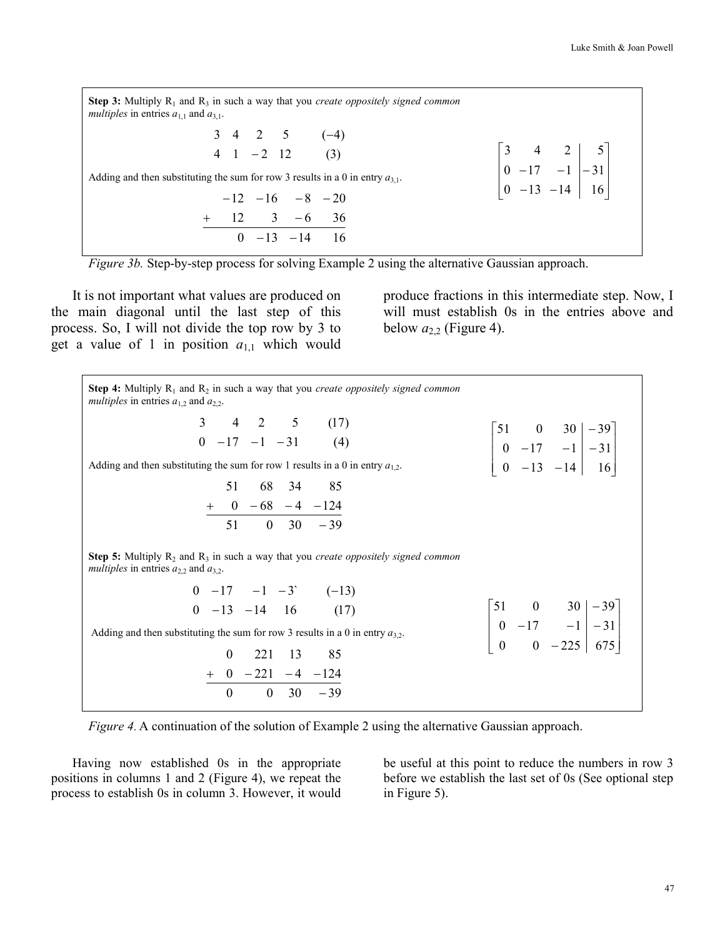**Step 3:** Multiply  $R_1$  and  $R_3$  in such a way that you *create oppositely signed common multiples* in entries  $a_{1,1}$  and  $a_{3,1}$ .  $4 \t1 \t-2 \t12 \t(3)$ )4(5243  $(-4)$ Adding and then substituting the sum for row 3 results in a 0 in entry  $a_{3,1}$ .  $0$   $-13$   $-14$  16  $12 \t 3 \t -6 \t 36$  $-12$   $-16$   $-8$   $-20$ −−  $+$  12 3  $\overline{\phantom{a}}$  $\overline{\phantom{a}}$  $\overline{\phantom{a}}$ 」  $\overline{\phantom{a}}$  $\mathsf{L}$  $\overline{\phantom{a}}$  $\overline{\phantom{a}}$ L  $\overline{\phantom{a}}$ − − − − − 16 31 5 14 1 2 13 17 4  $\overline{a}$ 0 0 3



It is not important what values are produced on the main diagonal until the last step of this process. So, I will not divide the top row by 3 to get a value of 1 in position  $a_{1,1}$  which would

produce fractions in this intermediate step. Now, I will must establish 0s in the entries above and below  $a_{2,2}$  (Figure 4).

| <b>Step 4:</b> Multiply $R_1$ and $R_2$ in such a way that you <i>create oppositely signed common</i><br><i>multiples</i> in entries $a_{1,2}$ and $a_{2,2}$ .                                        |                                                                                               |
|-------------------------------------------------------------------------------------------------------------------------------------------------------------------------------------------------------|-----------------------------------------------------------------------------------------------|
| $3 \t 4 \t 2 \t 5 \t (17)$<br>$0 -17 -1 -31$ (4)<br>Adding and then substituting the sum for row 1 results in a 0 in entry $a_{1,2}$ .<br>51 68 34 85<br>$\frac{+}{51}$ 0 -68 -4 -124<br>51 0 30 -39  | $\begin{bmatrix} 51 & 0 & 30 & -39 \\ 0 & -17 & -1 & -31 \\ 0 & -13 & -14 & 16 \end{bmatrix}$ |
| <b>Step 5:</b> Multiply $R_2$ and $R_3$ in such a way that you <i>create oppositely signed common</i><br><i>multiples</i> in entries $a_{2,2}$ and $a_{3,2}$ .                                        |                                                                                               |
| $0 -17 -1 -3$ $(-13)$<br>$0 -13 -14 16$ (17)<br>Adding and then substituting the sum for row 3 results in a 0 in entry $a_{3,2}$ .<br>0 221 13 85<br>$\frac{+0-221-4-124}{0\quad 0\quad 30\quad -39}$ | $\begin{bmatrix} 51 & 0 & 30 & -39 \\ 0 & -17 & -1 & -31 \\ 0 & 0 & -225 & 675 \end{bmatrix}$ |

*Figure 4*. A continuation of the solution of Example 2 using the alternative Gaussian approach.

Having now established 0s in the appropriate positions in columns 1 and 2 (Figure 4), we repeat the process to establish 0s in column 3. However, it would be useful at this point to reduce the numbers in row 3 before we establish the last set of 0s (See optional step in Figure 5).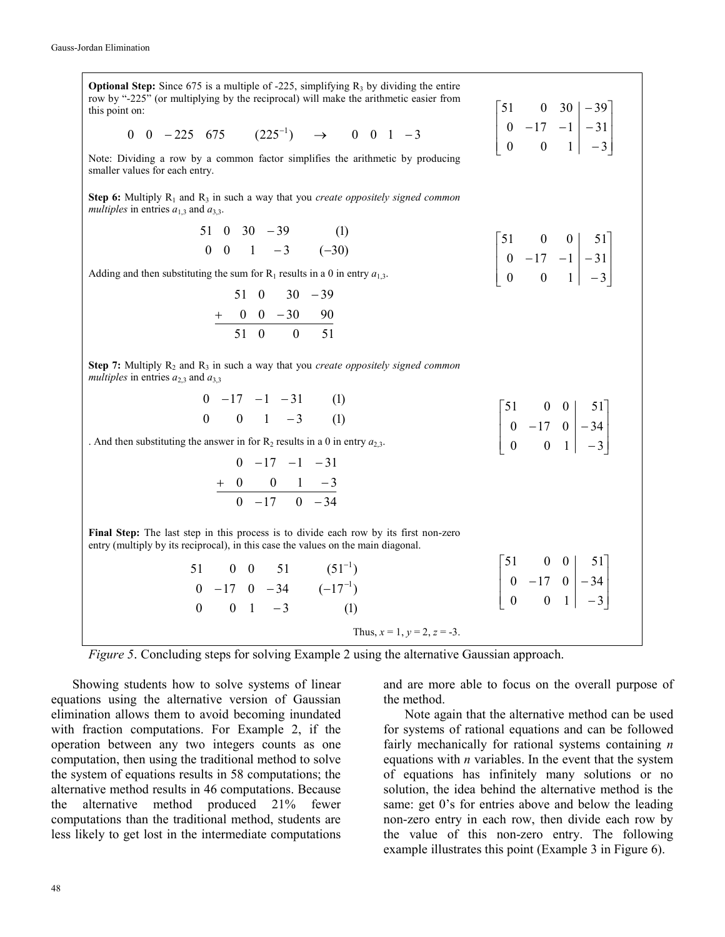| <b>Optional Step:</b> Since 675 is a multiple of -225, simplifying $R_3$ by dividing the entire<br>row by "-225" (or multiplying by the reciprocal) will make the arithmetic easier from<br>this point on: |                                                                                        |
|------------------------------------------------------------------------------------------------------------------------------------------------------------------------------------------------------------|----------------------------------------------------------------------------------------|
| 0 0 -225 675 (225 <sup>-1</sup> ) $\rightarrow$ 0 0 1 -3                                                                                                                                                   | $\begin{vmatrix} 31 & 0 & 30 \\ 0 & -17 & -1 & -31 \\ 0 & 0 & 1 & -3 \end{vmatrix}$    |
| Note: Dividing a row by a common factor simplifies the arithmetic by producing<br>smaller values for each entry.                                                                                           |                                                                                        |
| <b>Step 6:</b> Multiply $R_1$ and $R_3$ in such a way that you <i>create oppositely signed common</i><br><i>multiples</i> in entries $a_{1,3}$ and $a_{3,3}$ .                                             |                                                                                        |
| 51 0 30 -39 (1)<br>0 0 1 -3 (-30)                                                                                                                                                                          |                                                                                        |
|                                                                                                                                                                                                            | $\begin{vmatrix} 3 & 0 & 0 & 31 \\ 0 & -17 & -1 & -31 \\ 0 & 0 & 1 & -3 \end{vmatrix}$ |
| Adding and then substituting the sum for $R_1$ results in a 0 in entry $a_{1,3}$ .                                                                                                                         |                                                                                        |
| $51 \t0 \t30 \t-39$                                                                                                                                                                                        |                                                                                        |
| $+\frac{0}{51}$ 0 - 30 - 90                                                                                                                                                                                |                                                                                        |
|                                                                                                                                                                                                            |                                                                                        |
| Step 7: Multiply $R_2$ and $R_3$ in such a way that you <i>create oppositely signed common</i><br>multiples in entries $a_{2,3}$ and $a_{3,3}$                                                             |                                                                                        |
| $0 -17 -1 -31$ (1)                                                                                                                                                                                         |                                                                                        |
| $0 \t 0 \t 1 \t -3 \t (1)$                                                                                                                                                                                 |                                                                                        |
| . And then substituting the answer in for $R_2$ results in a 0 in entry $a_{2,3}$ .                                                                                                                        | $\begin{bmatrix} 51 & 0 & 0 & 0 \\ 0 & -17 & 0 & -34 \\ 0 & 0 & 1 & -3 \end{bmatrix}$  |
| $0 -17 -1 -31$                                                                                                                                                                                             |                                                                                        |
| $+\ 0 \ 0 \ 1 \ -3$                                                                                                                                                                                        |                                                                                        |
|                                                                                                                                                                                                            |                                                                                        |
| Final Step: The last step in this process is to divide each row by its first non-zero<br>entry (multiply by its reciprocal), in this case the values on the main diagonal.                                 |                                                                                        |
|                                                                                                                                                                                                            | $\begin{bmatrix} 51 & 0 & 0 & 51 \\ 0 & -17 & 0 & -34 \\ 0 & 0 & 1 & -3 \end{bmatrix}$ |
| 51 0 0 51 $(51^{-1})$<br>0 -17 0 -34 $(-17^{-1})$                                                                                                                                                          |                                                                                        |
| $0 \t 0 \t 1 \t -3$<br>(1)                                                                                                                                                                                 |                                                                                        |
| Thus, $x = 1$ , $y = 2$ , $z = -3$ .                                                                                                                                                                       |                                                                                        |

*Figure 5*. Concluding steps for solving Example 2 using the alternative Gaussian approach.

Showing students how to solve systems of linear equations using the alternative version of Gaussian elimination allows them to avoid becoming inundated with fraction computations. For Example 2, if the operation between any two integers counts as one computation, then using the traditional method to solve the system of equations results in 58 computations; the alternative method results in 46 computations. Because the alternative method produced 21% fewer computations than the traditional method, students are less likely to get lost in the intermediate computations

and are more able to focus on the overall purpose of the method.

Note again that the alternative method can be used for systems of rational equations and can be followed fairly mechanically for rational systems containing *n* equations with *n* variables. In the event that the system of equations has infinitely many solutions or no solution, the idea behind the alternative method is the same: get 0's for entries above and below the leading non-zero entry in each row, then divide each row by the value of this non-zero entry. The following example illustrates this point (Example 3 in Figure 6).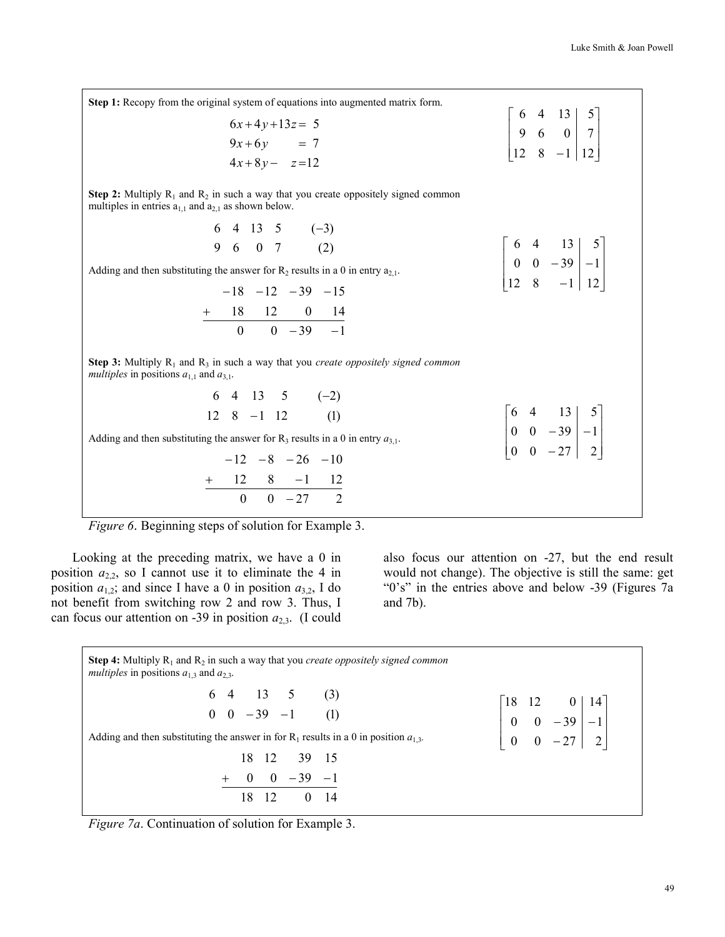| <b>Step 1:</b> Recopy from the original system of equations into augmented matrix form.                                                                                                                                                                                                                                                                                                                   |                                                                                       |
|-----------------------------------------------------------------------------------------------------------------------------------------------------------------------------------------------------------------------------------------------------------------------------------------------------------------------------------------------------------------------------------------------------------|---------------------------------------------------------------------------------------|
| $6x+4y+13z=5$<br>$9x+6y = 7$<br>$4x+8y-z=12$                                                                                                                                                                                                                                                                                                                                                              | $\begin{bmatrix} 0 & 4 & 13 & 3 \\ 9 & 6 & 0 & 7 \\ 12 & 8 & -1 & 12 \end{bmatrix}$   |
| <b>Step 2:</b> Multiply $R_1$ and $R_2$ in such a way that you create oppositely signed common<br>multiples in entries $a_{1,1}$ and $a_{2,1}$ as shown below.                                                                                                                                                                                                                                            |                                                                                       |
| $6$ 4 13 5 (-3)<br>9 6 0 7 (2)<br>Adding and then substituting the answer for $R_2$ results in a 0 in entry $a_{2,1}$ .<br>$-18$ $-12$ $-39$ $-15$<br>$\frac{+}{0}$ 18 12 0 14<br>0 0 -39 -1                                                                                                                                                                                                              | $\begin{vmatrix} 0 & -1 & 15 \\ 0 & 0 & -39 \\ 12 & 8 & -1 & 12 \end{vmatrix}$        |
| <b>Step 3:</b> Multiply $R_1$ and $R_3$ in such a way that you <i>create oppositely signed common</i><br><i>multiples</i> in positions $a_{1,1}$ and $a_{3,1}$ .<br>$6$ 4 13 5 (-2)<br>12 8 -1 12 (1)<br>Adding and then substituting the answer for $R_3$ results in a 0 in entry $a_{3,1}$ .<br>$-12 -8 -26 -10$<br>$+\qquad 12 \qquad 8 \qquad -1 \qquad 12 \\ \hline\n0 \qquad 0 \qquad -27 \qquad 2$ | $\begin{vmatrix} 6 & 4 & 13 & 5 \\ 0 & 0 & -39 & -1 \\ 0 & 0 & -27 & 2 \end{vmatrix}$ |

*Figure 6*. Beginning steps of solution for Example 3.

Looking at the preceding matrix, we have a 0 in position  $a_{2,2}$ , so I cannot use it to eliminate the 4 in position  $a_{1,2}$ ; and since I have a 0 in position  $a_{3,2}$ , I do not benefit from switching row 2 and row 3. Thus, I can focus our attention on -39 in position  $a_{2,3}$ . (I could also focus our attention on -27, but the end result would not change). The objective is still the same: get "0's" in the entries above and below -39 (Figures 7a and 7b).

| <b>Step 4:</b> Multiply $R_1$ and $R_2$ in such a way that you <i>create oppositely signed common</i><br><i>multiples</i> in positions $a_{1,3}$ and $a_{2,3}$ . |                                                                                         |
|------------------------------------------------------------------------------------------------------------------------------------------------------------------|-----------------------------------------------------------------------------------------|
| $6 \t4 \t13 \t5 \t(3)$<br>$0 \t 0 \t -39 \t -1 \t (1)$                                                                                                           | $\begin{bmatrix} 18 & 12 & 0 & 14 \\ 0 & 0 & -39 & -1 \\ 0 & 0 & -27 & 2 \end{bmatrix}$ |
| Adding and then substituting the answer in for $R_1$ results in a 0 in position $a_{1,3}$ .                                                                      |                                                                                         |
| 18 12 39 15                                                                                                                                                      |                                                                                         |
| $0 \t 0 \t -39 \t -1$                                                                                                                                            |                                                                                         |
| 12 <sup>1</sup><br>18                                                                                                                                            |                                                                                         |

*Figure 7a.* Continuation of solution for Example 3.